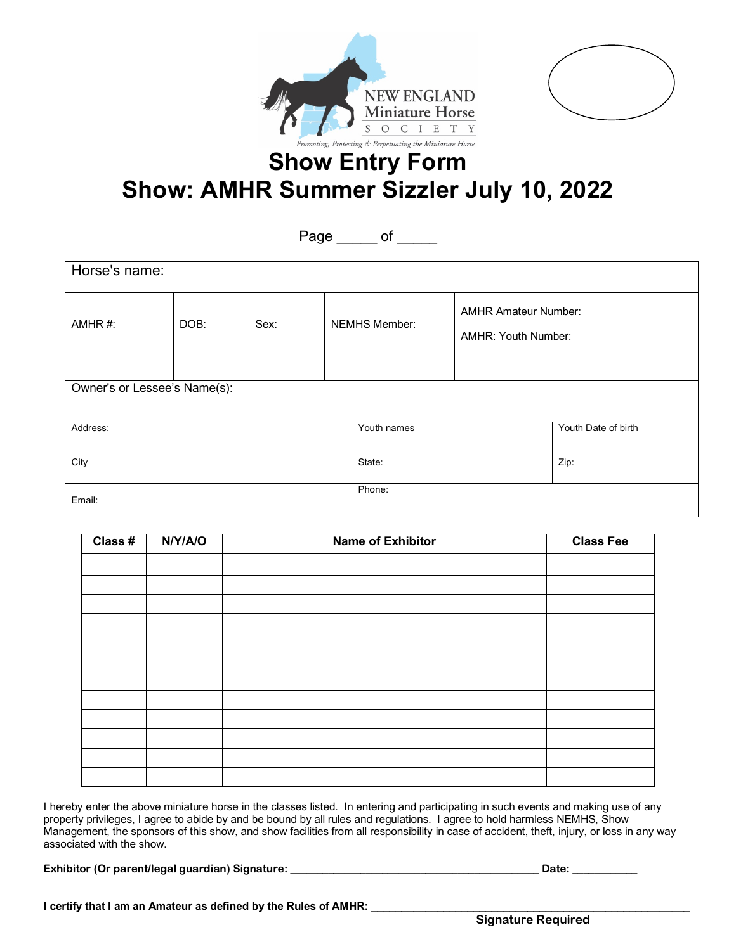



# **Show Entry Form Show: AMHR Summer Sizzler July 10, 2022**

### Page \_\_\_\_\_\_ of \_\_\_\_\_

| Horse's name:                |      |      |             |                      |                                                    |  |  |  |  |
|------------------------------|------|------|-------------|----------------------|----------------------------------------------------|--|--|--|--|
| AMHR#:                       | DOB: | Sex: |             | <b>NEMHS Member:</b> | <b>AMHR Amateur Number:</b><br>AMHR: Youth Number: |  |  |  |  |
| Owner's or Lessee's Name(s): |      |      |             |                      |                                                    |  |  |  |  |
| Address:                     |      |      | Youth names |                      | Youth Date of birth                                |  |  |  |  |
| City                         |      |      | State:      |                      | Zip:                                               |  |  |  |  |
| Email:                       |      |      |             | Phone:               |                                                    |  |  |  |  |

| Class # | N/Y/A/O | <b>Name of Exhibitor</b> | <b>Class Fee</b> |
|---------|---------|--------------------------|------------------|
|         |         |                          |                  |
|         |         |                          |                  |
|         |         |                          |                  |
|         |         |                          |                  |
|         |         |                          |                  |
|         |         |                          |                  |
|         |         |                          |                  |
|         |         |                          |                  |
|         |         |                          |                  |
|         |         |                          |                  |
|         |         |                          |                  |
|         |         |                          |                  |

I hereby enter the above miniature horse in the classes listed. In entering and participating in such events and making use of any property privileges, I agree to abide by and be bound by all rules and regulations. I agree to hold harmless NEMHS, Show Management, the sponsors of this show, and show facilities from all responsibility in case of accident, theft, injury, or loss in any way associated with the show.

**Exhibitor (Or parent/legal guardian) Signature: \_\_\_\_\_\_\_\_\_\_\_\_\_\_\_\_\_\_\_\_\_\_\_\_\_\_\_\_\_\_\_\_\_\_\_\_\_\_\_\_\_\_\_\_\_\_ Date: \_\_\_\_\_\_\_\_\_\_\_\_**

**I certify that I am an Amateur as defined by the Rules of AMHR:**